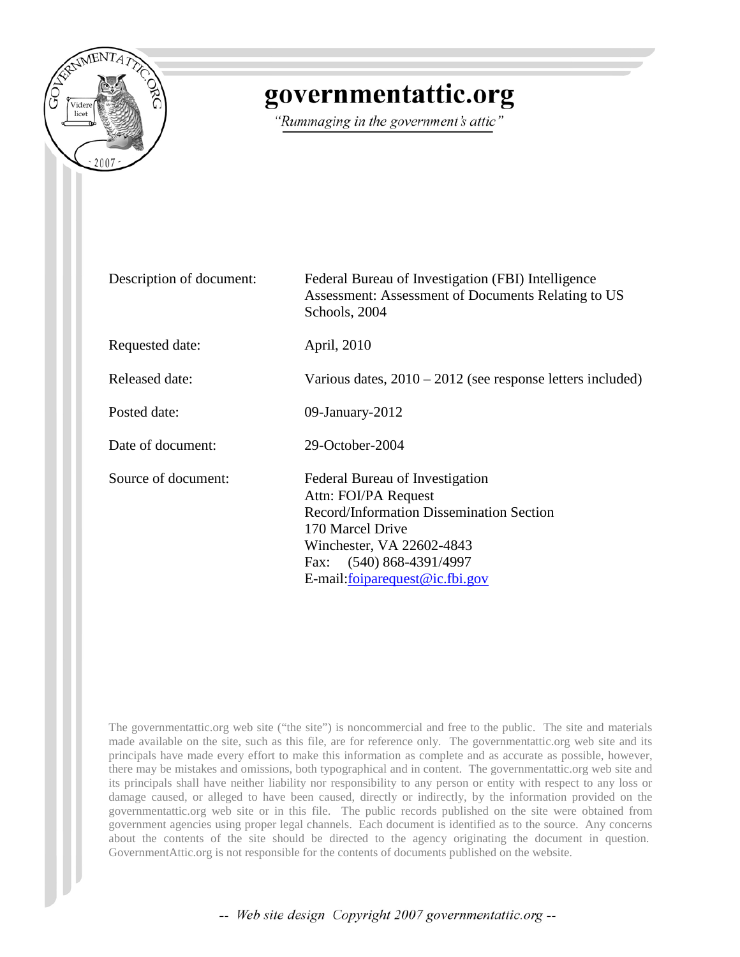

# governmentattic.org

"Rummaging in the government's attic"

| Description of document: | Federal Bureau of Investigation (FBI) Intelligence<br>Assessment: Assessment of Documents Relating to US<br>Schools, 2004                                                                                                   |  |
|--------------------------|-----------------------------------------------------------------------------------------------------------------------------------------------------------------------------------------------------------------------------|--|
| Requested date:          | April, 2010                                                                                                                                                                                                                 |  |
| Released date:           | Various dates, $2010 - 2012$ (see response letters included)                                                                                                                                                                |  |
| Posted date:             | 09-January-2012                                                                                                                                                                                                             |  |
| Date of document:        | 29-October-2004                                                                                                                                                                                                             |  |
| Source of document:      | Federal Bureau of Investigation<br>Attn: FOI/PA Request<br>Record/Information Dissemination Section<br>170 Marcel Drive<br>Winchester, VA 22602-4843<br>Fax: (540) 868-4391/4997<br>E-mail: <u>foiparequest@ic</u> .fbi.gov |  |

The governmentattic.org web site ("the site") is noncommercial and free to the public. The site and materials made available on the site, such as this file, are for reference only. The governmentattic.org web site and its principals have made every effort to make this information as complete and as accurate as possible, however, there may be mistakes and omissions, both typographical and in content. The governmentattic.org web site and its principals shall have neither liability nor responsibility to any person or entity with respect to any loss or damage caused, or alleged to have been caused, directly or indirectly, by the information provided on the governmentattic.org web site or in this file. The public records published on the site were obtained from government agencies using proper legal channels. Each document is identified as to the source. Any concerns about the contents of the site should be directed to the agency originating the document in question. GovernmentAttic.org is not responsible for the contents of documents published on the website.

-- Web site design Copyright 2007 governmentattic.org --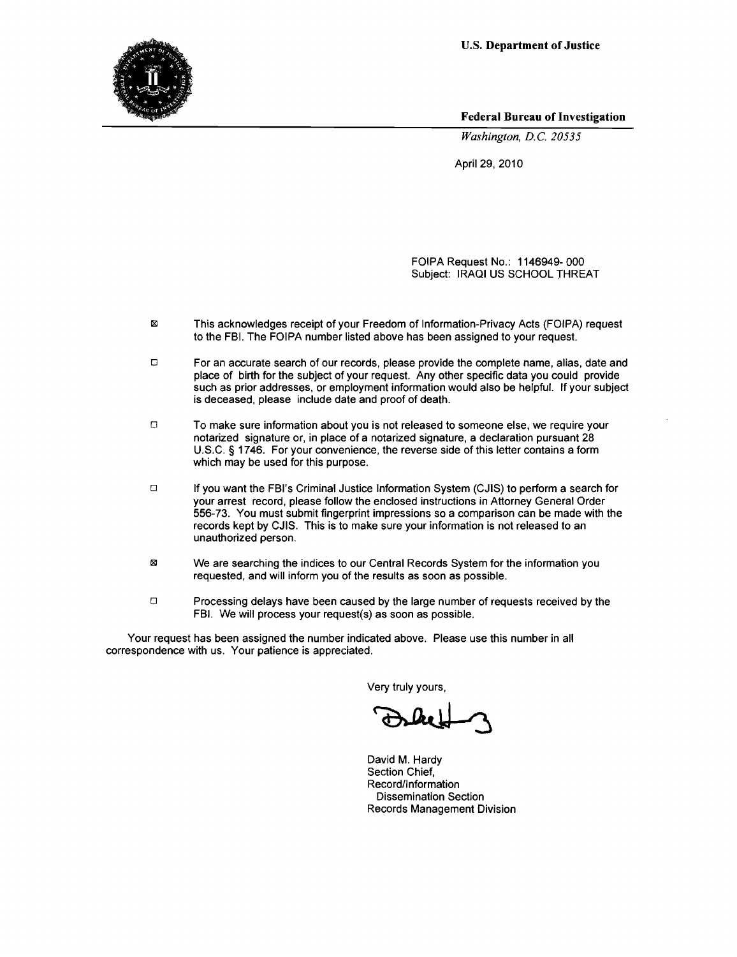

Federal Bureau of Investigation

*Washington, D.C. 20535* 

April 29, 2010

FOIPA Request No.: 1146949-000 Subject: IRAQI US SCHOOL THREAT

- $\boxtimes$ This acknowledges receipt of your Freedom of Information-Privacy Acts (FOIPA) request to the FBI. The FOIPA number listed above has been assigned to your request.
- $\Box$  For an accurate search of our records, please provide the complete name, alias, date and place of birth for the subject of your request. Any other specific data you could provide such as prior addresses, or employment information would also be helpful. If your subject is deceased, please include date and proof of death.
- $\Box$  To make sure information about you is not released to someone else, we require your notarized signature or, in place of a notarized signature, a declaration pursuant 28 U.S.C. § 1746. For your convenience, the reverse side of this letter contains a form which may be used for this purpose.
- o If you want the FBI's Criminal Justice Information System (C.IIS) to perform a search for your arrest record, please follow the enclosed instructions in Attorney General Order 556-73. You must submit fingerprint impressions so a comparison can be made with the records kept by CJIS. This is to make sure your information is not released to an unauthorized person.
- $\boxtimes$ We are searching the indices to our Central Records System for the information you requested, and will inform you of the results as soon as possible.
- $\Box$  Processing delays have been caused by the large number of requests received by the FBI. We will process your request(s) as soon as possible.

Your request has been assigned the number indicated above. Please use this number in all correspondence with us. Your patience is appreciated.

Very truly yours,

David M. Hardy Section Chief, Record/Information Dissemination Section Records Management Division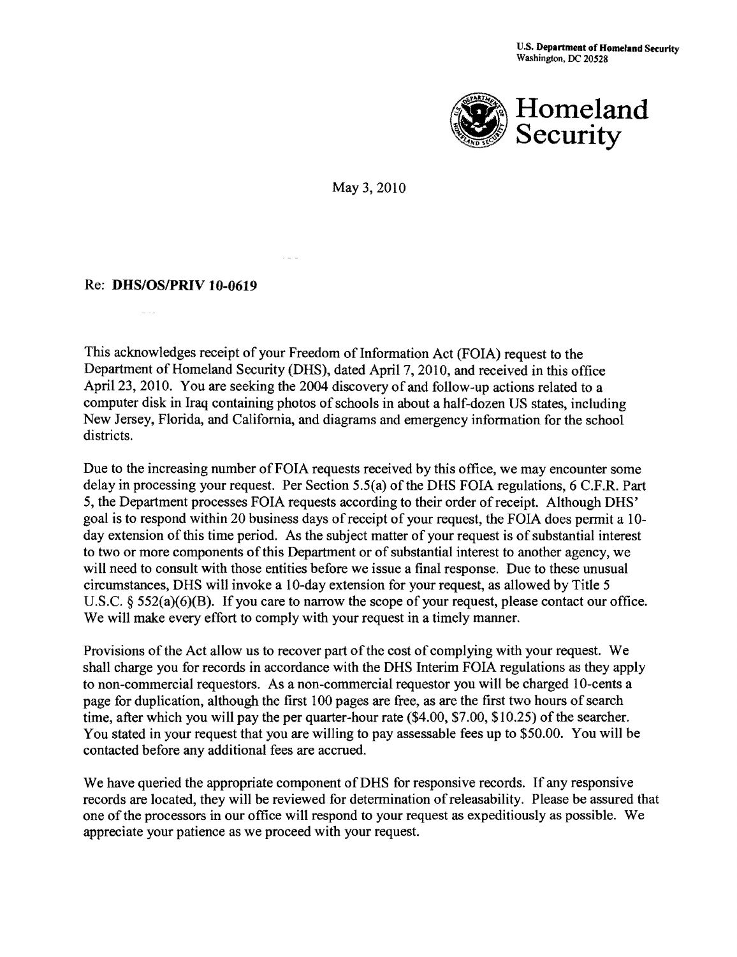

May 3, 2010

### Re: DHS/OS/PRIV 10-0619

This acknowledges receipt of your Freedom of Information Act (FOIA) request to the Department of Homeland Security (DHS), dated April 7, 2010, and received in this office April23, 2010. You are seeking the 2004 discovery of and follow-up actions related to a computer disk in Iraq containing photos of schools in about a half-dozen US states, including New Jersey, Florida, and California, and diagrams and emergency information for the school districts.

Due to the increasing number of FOIA requests received by this office, we may encounter some delay in processing your request. Per Section 5.5(a) of the DHS FOIA regulations, 6 C.F.R. Part 5, the Department processes FOIA requests according to their order of receipt. Although DHS' goal is to respond within 20 business days of receipt of your request, the FOIA does permit a 10 day extension of this time period. As the subject matter of your request is of substantial interest to two or more components of this Department or of substantial interest to another agency, we will need to consult with those entities before we issue a final response. Due to these unusual circumstances, DHS will invoke a 10-day extension for your request, as allowed by Title 5 U.S.C. § 552(a)(6)(B). If you care to narrow the scope of your request, please contact our office. We will make every effort to comply with your request in a timely manner.

Provisions of the Act allow us to recover part of the cost of complying with your request. We shall charge you for records in accordance with the DHS Interim FOIA regulations as they apply to non-commercial requestors. As a non-commercial requestor you will be charged 10-cents a page for duplication, although the first 100 pages are free, as are the first two hours of search time, after which you will pay the per quarter-hour rate (\$4.00, \$7.00, \$10.25) of the searcher. You stated in your request that you are willing to pay assessable fees up to \$50.00. You will be contacted before any additional fees are accrued.

We have queried the appropriate component of DHS for responsive records. If any responsive records are located, they will be reviewed for determination of releasability. Please be assured that one of the processors in our office will respond to your request as expeditiously as possible. We appreciate your patience as we proceed with your request.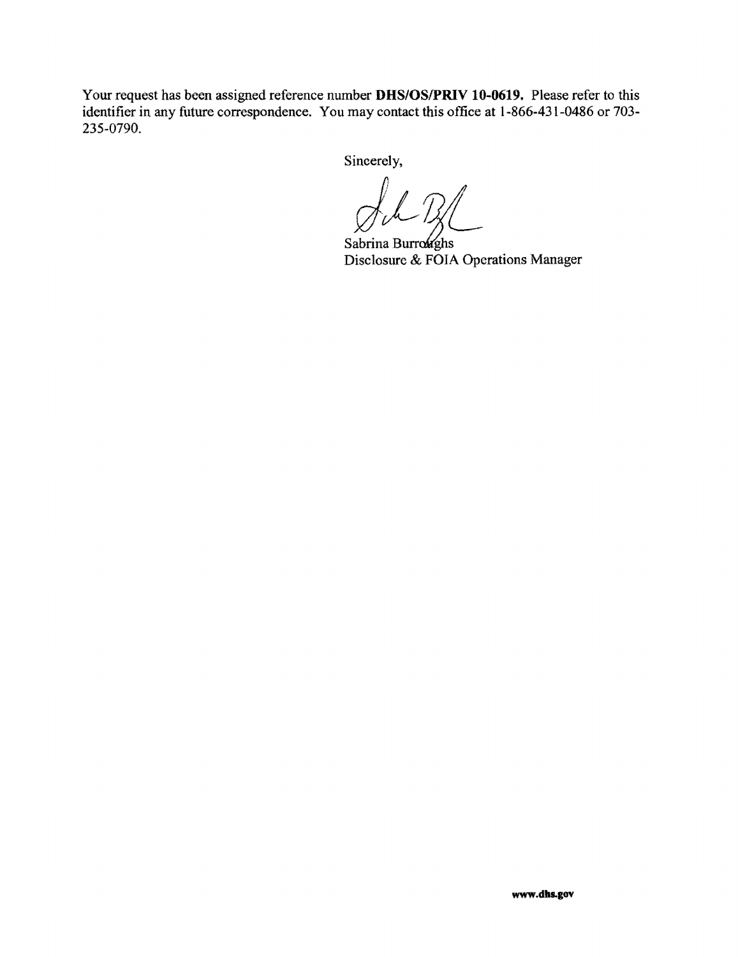Your request has been assigned reference number **DHS/OS/PRIV 10-0619.** Please refer to this identifier in any future correspondence. You may contact this office at 1-866-431-0486 or 703- 235-0790.

Sincerely,

Disclosure & FOIA Operations Manager Sabrina Burroughs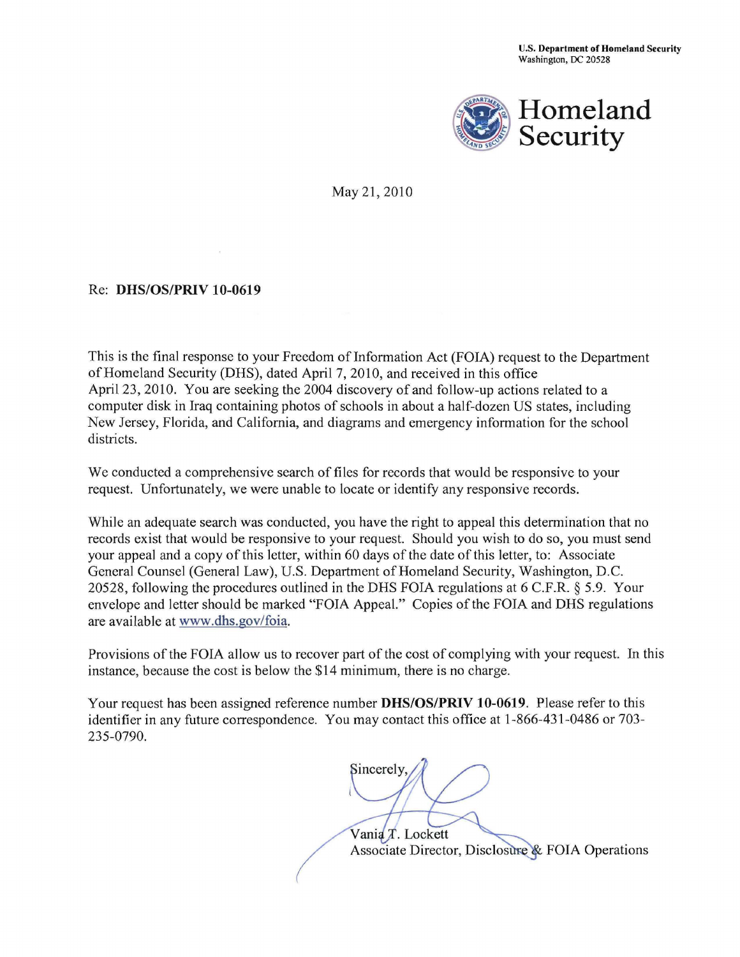

May 21, 2010

### Re: **DHS/OS/PRIV 10-0619**

This is the final response to your Freedom of Information Act (FOIA) request to the Department ofHomeland Security (DHS), dated April 7, 2010, and received in this office April 23, 2010. You are seeking the 2004 discovery of and follow-up actions related to a computer disk in Iraq containing photos of schools in about a half-dozen US states, including New Jersey, Florida, and California, and diagrams and emergency information for the school districts.

We conducted a comprehensive search of files for records that would be responsive to your request. Unfortunately, we were unable to locate or identify any responsive records.

While an adequate search was conducted, you have the right to appeal this determination that no records exist that would be responsive to your request. Should you wish to do so, you must send your appeal and a copy of this letter, within 60 days of the date of this letter, to: Associate General Counsel (General Law), U.S. Department of Homeland Security, Washington, D.C. 20528, following the procedures outlined in the DHS FOIA regulations at 6 C.F.R. § 5.9. Your envelope and letter should be marked "FOIA Appeal." Copies of the FOIA and DHS regulations are available at www.dhs.gov/foia.

Provisions of the FOIA allow us to recover part of the cost of complying with your request. In this instance, because the cost is below the \$14 minimum, there is no charge.

Your request has been assigned reference number **DHS/OS/PRIV 10-0619.** Please refer to this identifier in any future correspondence. You may contact this office at 1-866-431-0486 or 703- 235-0790.

Sincerely.

Vania T. Lockett Associate Director, Disclosure & FOIA Operations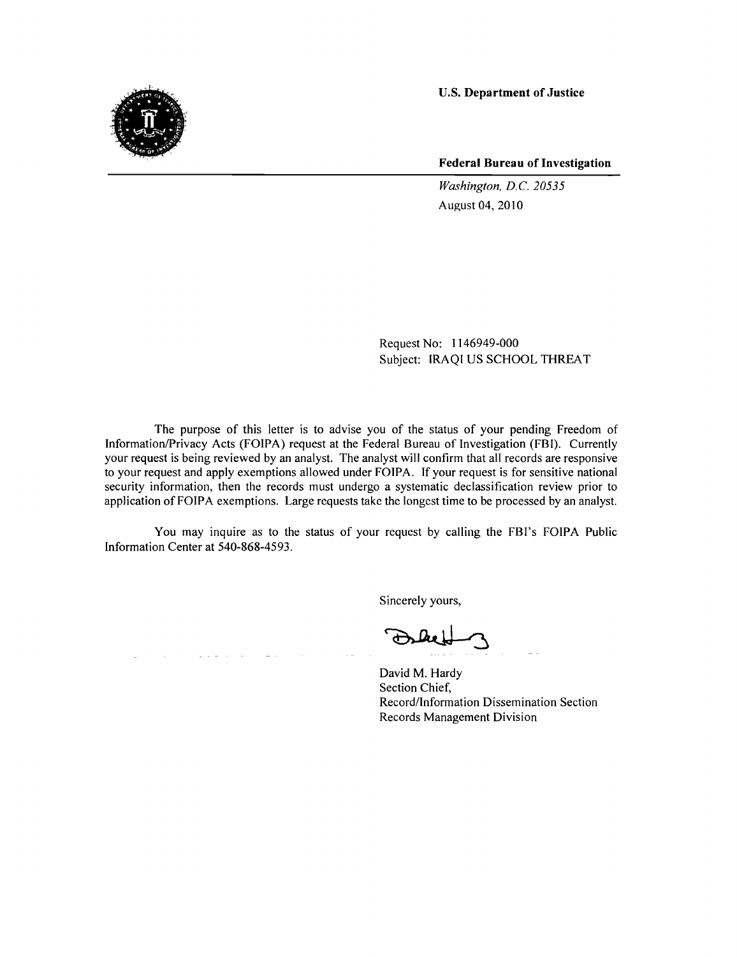

**Federal Bureau of Investigation** 

*Washington, D.C. 20535*  August 04, 2010

Request No: 1146949-000 Subject: IRAQI US SCHOOL THREAT

The purpose of this letter is to advise you of the status of your pending Freedom of Information/Privacy Acts (FOIPA) request at the Federal Bureau of Investigation (FBI). Currently your request is being reviewed by an analyst. The analyst will confirm that all records are responsive to your request and apply exemptions allowed under FOIPA. If your request is for sensitive national security information, then the records must undergo a systematic declassification review prior to application of FOIPA exemptions. Large requests take the longest time to be processed by an analyst.

You may inquire as to the status of your request by calling the FBI's FOIPA Public Information Center at 540-868-4593.

 $\mathcal{L}^{\mathcal{A}}$  and  $\mathcal{L}^{\mathcal{A}}$  and  $\mathcal{L}^{\mathcal{A}}$ 

Sincerely yours,

David M. Hardy Section Chief, Record/Information Dissemination Section Records Management Division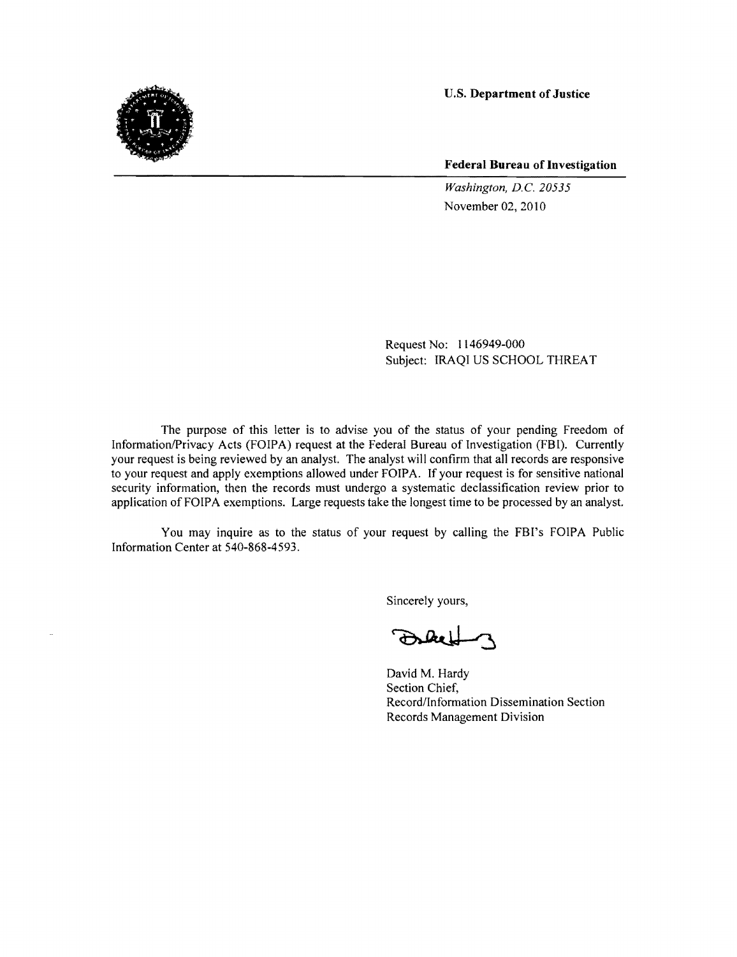

**Federal Bureau of Investigation** 

*Washington, D.C. 20535*  November 02, 2010

Request No: 1146949-000 Subject: IRAQI US SCHOOL THREAT

The purpose of this letter is to advise you of the status of your pending Freedom of Information/Privacy Acts (FOIPA) request at the Federal Bureau of Investigation (FBI). Currently your request is being reviewed by an analyst. The analyst will confirm that all records are responsive to your request and apply exemptions allowed under FOIPA. If your request is for sensitive national security information, then the records must undergo a systematic declassification review prior to application of FOIPA exemptions. Large requests take the longest time to be processed by an analyst.

You may inquire as to the status of your request by calling the FBI's FOIPA Public Information Center at 540-868-4593.

Sincerely yours,

Sidel

David M. Hardy Section Chief, Record/Information Dissemination Section Records Management Division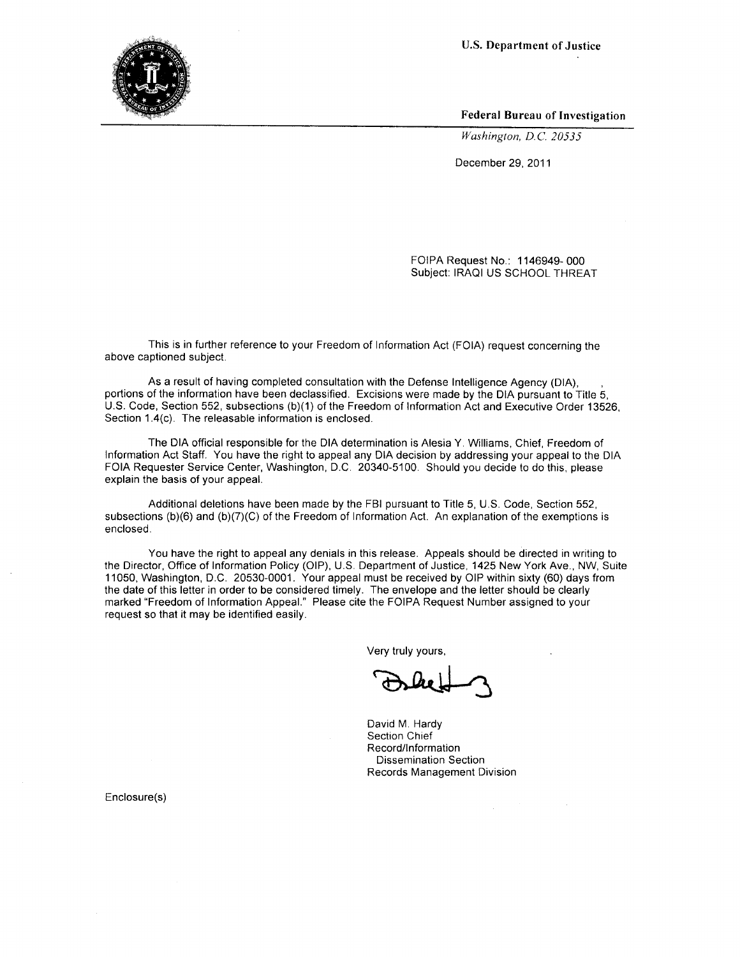Federal Bureau of Investigation

*Washington, D.C. 20535* 

December 29, 2011

FOIPA Request No.: 1146949- 000 Subject: IRAQI US SCHOOL THREAT

This is in further reference to your Freedom of Information Act (FOIA) request concerning the above captioned subject.

As a result of having completed consultation with the Defense Intelligence Agency (DIA), portions of the information have been declassified. Excisions were made by the DIA pursuant to Title 5, U.S. Code, Section 552, subsections (b)(1) of the Freedom of Information Act and Executive Order 13526, Section 1.4(c). The releasable information is enclosed.

The DIA official responsible for the DIA determination is Alesia Y. Williams, Chief, Freedom of Information Act Staff. You have the right to appeal any DIA decision by addressing your appeal to the DIA FOIA Requester Service Center, Washington, D.C. 20340-5100. Should you decide to do this, please explain the basis of your appeal.

Additional deletions have been made by the FBI pursuant to Title 5, U.S. Code, Section 552, subsections (b)(6) and (b)(7)(C) of the Freedom of Information Act. An explanation of the exemptions is enclosed.

You have the right to appeal any denials in this release. Appeals should be directed in writing to the Director, Office of Information Policy (OIP), U.S. Department of Justice, 1425 New York Ave., NW, Suite 11050, Washington, D.C. 20530-0001. Your appeal must be received by OIP within sixty (60) days from the date of this letter in order to be considered timely. The envelope and the letter should be clearly marked "Freedom of Information Appeal." Please cite the FOIPA Request Number assigned to your request so that it may be identified easily.

Very truly yours,

David M. Hardy Section Chief Record/Information Dissemination Section Records Management Division

Enclosure(s)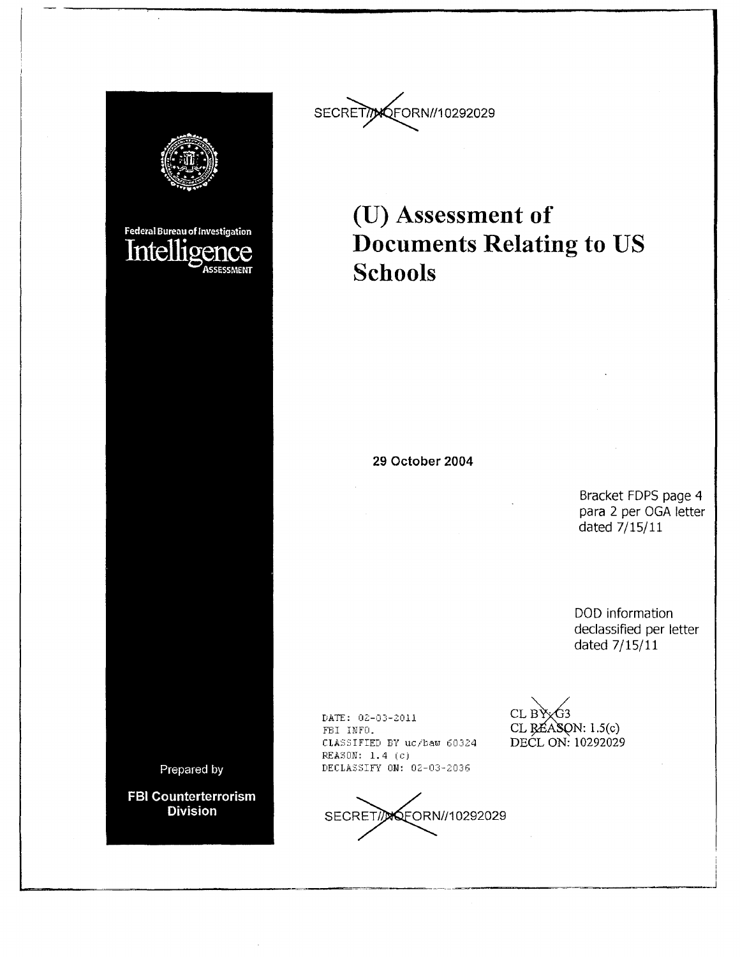



## **(U) Assessment of Documents Relating to US Schools**

**29 October 2004** 

Bracket FOPS page 4 para 2 per OGA letter dated 7/15/11

DOD information declassified per letter dated 7/15/11

> i i

DATE: 02-03-2011 FBI INFO. CLASSIFIED BY uc/baw 60324  $REASON: 1.4 (c)$ DECLASSIFY ON: 02-03-2036

SECRET/*D*OFORN//10292029

CL  $BYxG3$  $CL$   $RÉASON: 1.5(c)$ DECL ON: 10292029

~---=----~~~-------==----J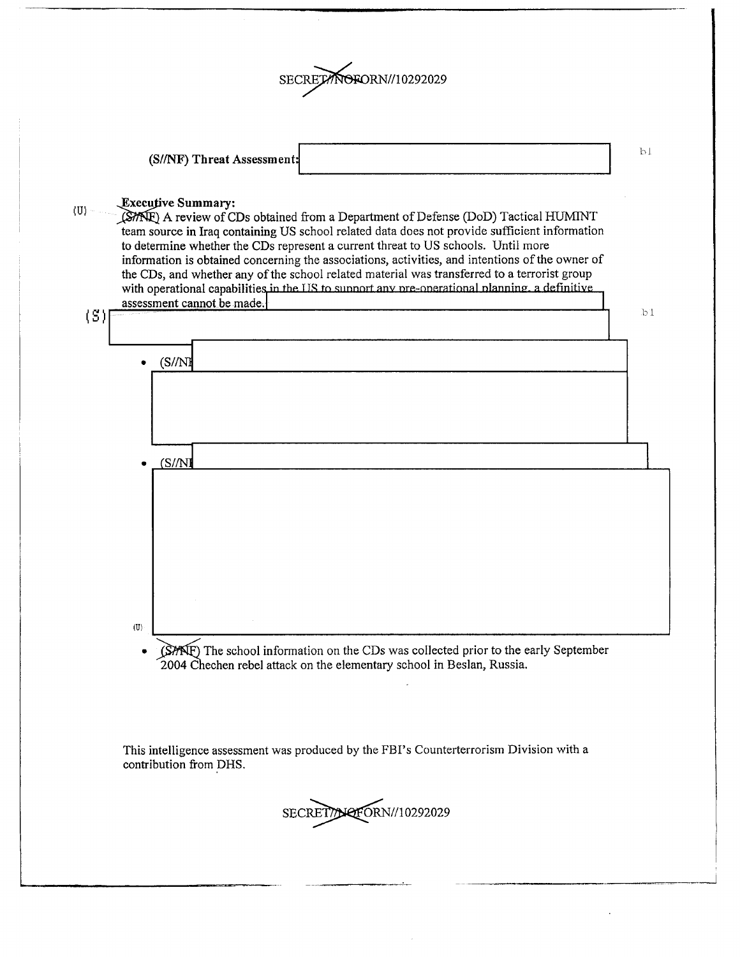

(S/INF) **Threat** Assessment

#### ~xec\_!!tive **Summary:**

(U)

~A review ofCDs obtained from a Department ofDefense (DoD) Tactical HUMINT team source in Iraq containing US school related data does not provide sufficient information to determine whether the CDs represent a current threat to US schools. Until more information is obtained concerning the associations, activities, and intentions of the owner of the CDs, and whether any of the school related material was transferred to a terrorist group with operational capabilities in the US to sunnort any pre-operational planning, a definiti assessment cannot be made.



• (SME) The school information on the CDs was collected prior to the early September 2004 Chechen rebel attack on the elementary school in Beslan, Russia.

This intelligence assessment was produced by the FBI's Counterterrorism Division with a contribution from DHS.



bl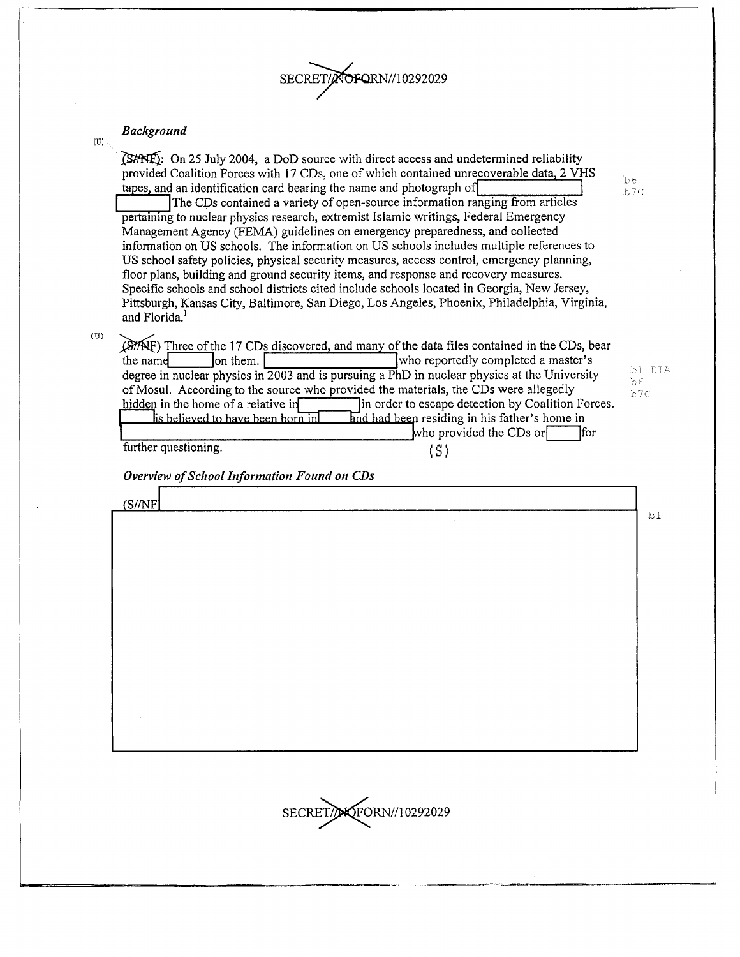

#### *Background*

 $\langle 0 \rangle$ 

(U)

| Duckgrouna                                                                                                                                                                                                                                                                                                                                                                                                                                                                                                                                                                                                                                                                                                                                                                                                                                                                                                                                                                                                                     |                                                                                                                                                                                     |           |        |
|--------------------------------------------------------------------------------------------------------------------------------------------------------------------------------------------------------------------------------------------------------------------------------------------------------------------------------------------------------------------------------------------------------------------------------------------------------------------------------------------------------------------------------------------------------------------------------------------------------------------------------------------------------------------------------------------------------------------------------------------------------------------------------------------------------------------------------------------------------------------------------------------------------------------------------------------------------------------------------------------------------------------------------|-------------------------------------------------------------------------------------------------------------------------------------------------------------------------------------|-----------|--------|
| $\mathbb{C}$ SHNE): On 25 July 2004, a DoD source with direct access and undetermined reliability<br>provided Coalition Forces with 17 CDs, one of which contained unrecoverable data, 2 VHS<br>tapes, and an identification card bearing the name and photograph of<br>The CDs contained a variety of open-source information ranging from articles<br>pertaining to nuclear physics research, extremist Islamic writings, Federal Emergency<br>Management Agency (FEMA) guidelines on emergency preparedness, and collected<br>information on US schools. The information on US schools includes multiple references to<br>US school safety policies, physical security measures, access control, emergency planning,<br>floor plans, building and ground security items, and response and recovery measures.<br>Specific schools and school districts cited include schools located in Georgia, New Jersey,<br>Pittsburgh, Kansas City, Baltimore, San Diego, Los Angeles, Phoenix, Philadelphia, Virginia,<br>and Florida. |                                                                                                                                                                                     | bб<br>b7C |        |
| (STAF) Three of the 17 CDs discovered, and many of the data files contained in the CDs, bear<br>the name<br>on them.<br>degree in nuclear physics in 2003 and is pursuing a PhD in nuclear physics at the University<br>of Mosul. According to the source who provided the materials, the CDs were allegedly<br>hidden in the home of a relative in<br>is believed to have been born in<br>further questioning.<br>Overview of School Information Found on CDs                                                                                                                                                                                                                                                                                                                                                                                                                                                                                                                                                                 | who reportedly completed a master's<br>In order to escape detection by Coalition Forces.<br>and had been residing in his father's home in<br>who provided the CDs or<br>lfor<br>(S) | bε<br>b7C | bl DIA |
| (S/NF)                                                                                                                                                                                                                                                                                                                                                                                                                                                                                                                                                                                                                                                                                                                                                                                                                                                                                                                                                                                                                         |                                                                                                                                                                                     |           |        |
|                                                                                                                                                                                                                                                                                                                                                                                                                                                                                                                                                                                                                                                                                                                                                                                                                                                                                                                                                                                                                                |                                                                                                                                                                                     |           | b1     |
| SECRET/NOFORN//10292029                                                                                                                                                                                                                                                                                                                                                                                                                                                                                                                                                                                                                                                                                                                                                                                                                                                                                                                                                                                                        |                                                                                                                                                                                     |           |        |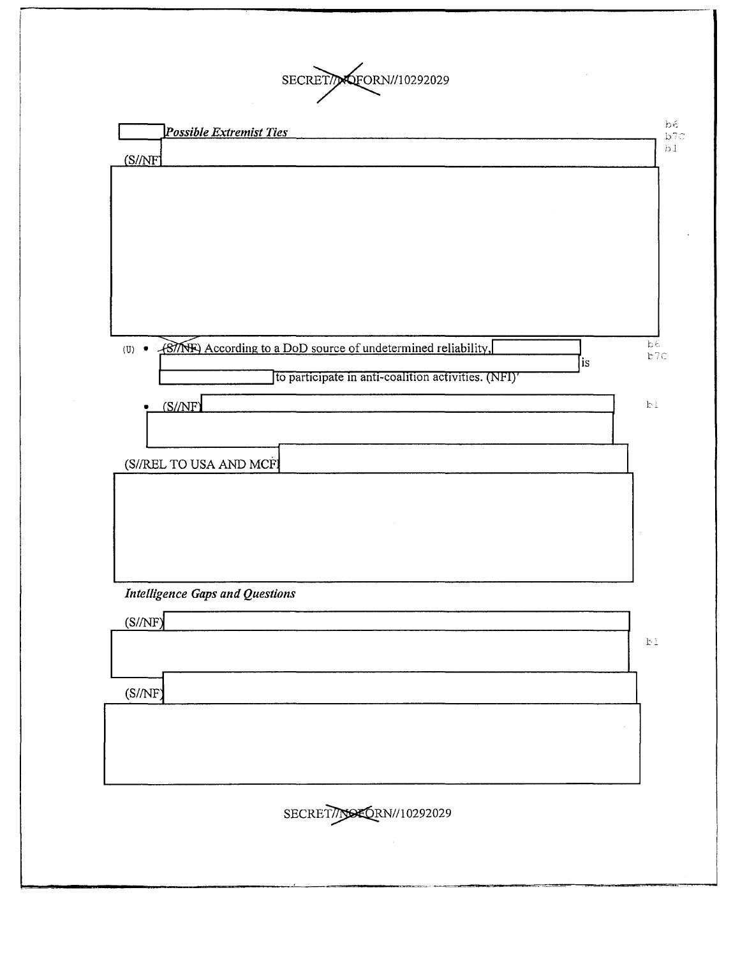SECRET/NOFORN//10292029

| (S//NF)                                                                                    |    |
|--------------------------------------------------------------------------------------------|----|
|                                                                                            | b1 |
|                                                                                            |    |
|                                                                                            |    |
|                                                                                            |    |
|                                                                                            |    |
|                                                                                            |    |
|                                                                                            |    |
| $b\epsilon$<br>(U) • <u>(BITNE)</u> According to a DoD source of undetermined reliability, |    |
| b7c<br>is<br>to participate in anti-coalition activities. (NFI)'                           |    |
|                                                                                            |    |
| (S/NF)<br>b1                                                                               |    |
|                                                                                            |    |
| (S//REL TO USA AND MCF)                                                                    |    |
|                                                                                            |    |
|                                                                                            |    |
|                                                                                            |    |
|                                                                                            |    |
| <b>Intelligence Gaps and Questions</b>                                                     |    |
| (S/NF)                                                                                     |    |
| $\mathbb{P} \, \mathbb{T}$                                                                 |    |
| (S/NF)                                                                                     |    |
|                                                                                            |    |
|                                                                                            |    |
|                                                                                            |    |
|                                                                                            |    |
| SECRET//NOEORN//10292029                                                                   |    |
|                                                                                            |    |
|                                                                                            |    |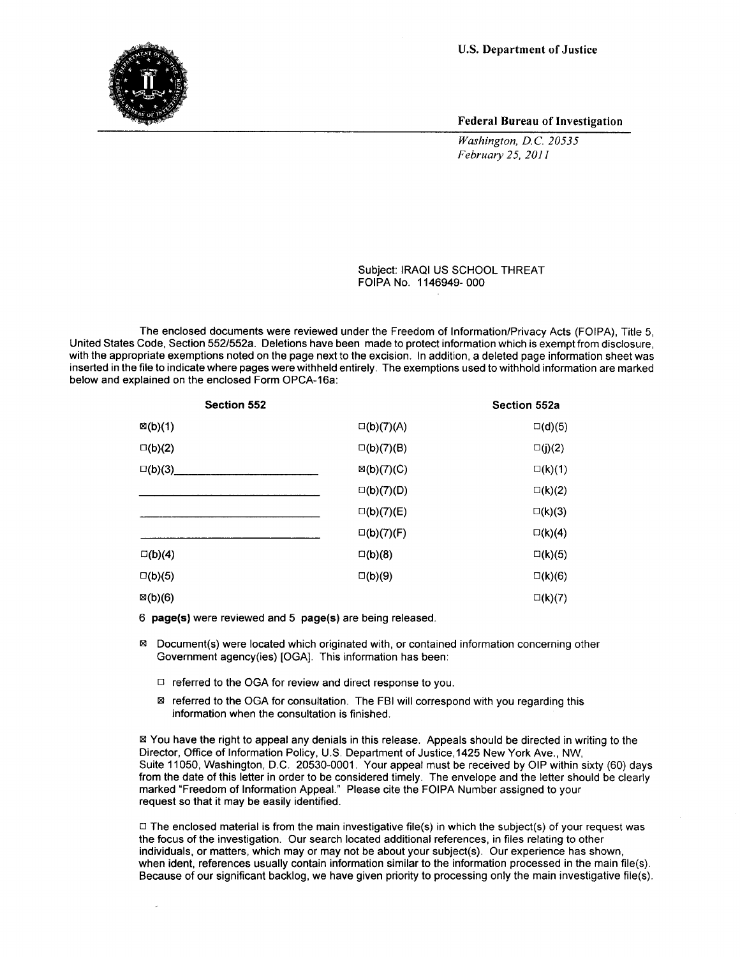

Federal Bureau of Investigation

*Washington, D.C. 20535 February 25, 2011* 

Subject: IRAQI US SCHOOL THREAT FOIPA No. 1146949- 000

The enclosed documents were reviewed under the Freedom of Information/Privacy Acts (FOIPA), Title 5, United States Code, Section 552/552a. Deletions have been made to protect information which is exempt from disclosure, with the appropriate exemptions noted on the page next to the excision. In addition, a deleted page information sheet was inserted in the file to indicate where pages were withheld entirely. The exemptions used to withhold information are marked below and explained on the enclosed Form OPCA-16a:

| Section 552        |                       | Section 552a     |
|--------------------|-----------------------|------------------|
| $\boxtimes$ (b)(1) | $\square(b)(7)(A)$    | $\square$ (d)(5) |
| $\square(b)(2)$    | $\square(b)(7)(B)$    | $\square(j)(2)$  |
| $\square(b)(3)$    | $\mathbb{Z}(b)(7)(C)$ | $\square(k)(1)$  |
|                    | $\square(b)(7)(D)$    | $\square(k)(2)$  |
|                    | $\square(b)(7)(E)$    | $\square(k)(3)$  |
|                    | $\square$ (b)(7)(F)   | $\square(k)(4)$  |
| $\square(b)(4)$    | $\square(b)(8)$       | $\square(k)(5)$  |
| $\square(b)(5)$    | $\square(b)(9)$       | $\square$ (k)(6) |
| $\boxtimes$ (b)(6) |                       | $\square(k)(7)$  |

6 page(s) were reviewed and 5 page(s) are being released.

- 181 Document(s) were located which originated with, or contained information concerning other Government agency(ies) [OGA]. This information has been:
	- $\Box$  referred to the OGA for review and direct response to you.
	- $\boxtimes$  referred to the OGA for consultation. The FBI will correspond with you regarding this information when the consultation is finished.

181 You have the right to appeal any denials in this release. Appeals should be directed in writing to the Director, Office of Information Policy, U.S. Department of Justice, 1425 New York Ave., NW, Suite 11050, Washington, D.C. 20530-0001. Your appeal must be received by OIP within sixty (60) days from the date of this letter in order to be considered timely. The envelope and the letter should be clearly marked "Freedom of Information Appeal." Please cite the FOIPA Number assigned to your request so that it may be easily identified.

 $\Box$  The enclosed material is from the main investigative file(s) in which the subject(s) of your request was the focus of the investigation. Our search located additional references, in files relating to other individuals, or matters, which may or may not be about your subject(s). Our experience has shown, when ident, references usually contain information similar to the information processed in the main file(s). Because of our significant backlog, we have given priority to processing only the main investigative file(s).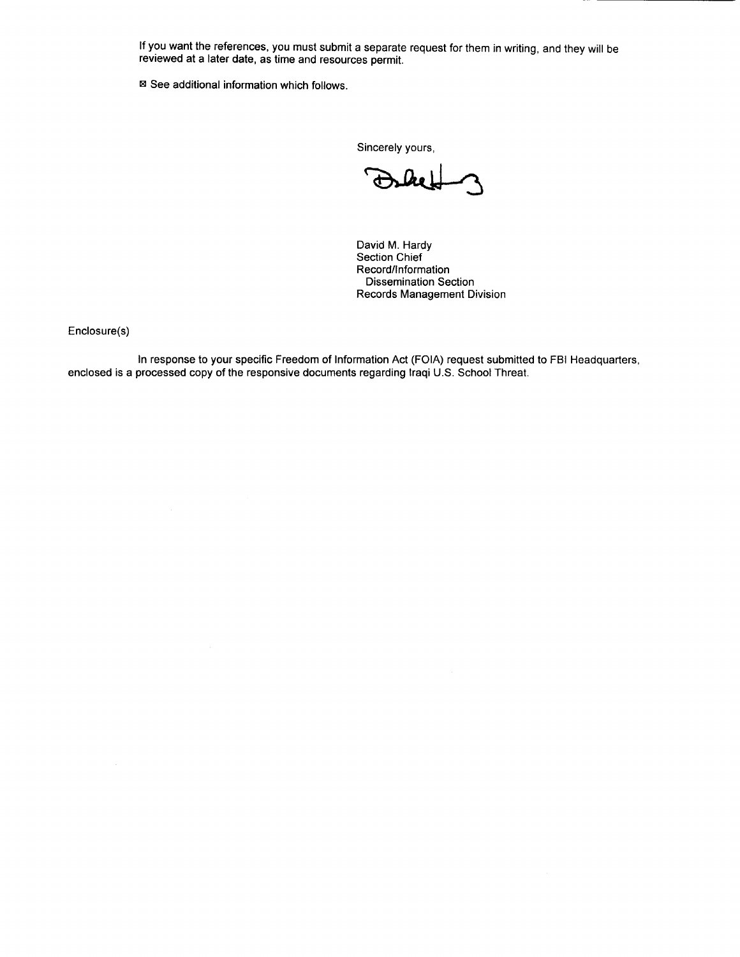If you want the references, you must submit a separate request for them in writing, and they will be reviewed at a later date, as time and resources permit.

■ See additional information which follows.

Sincerely yours,

David M. Hardy Section Chief Record/Information Dissemination Section Records Management Division

Enclosure(s)

In response to your specific Freedom of Information Act (FOIA) request submitted to FBI Headquarters, enclosed is a processed copy of the responsive documents regarding Iraqi U.S. School Threat.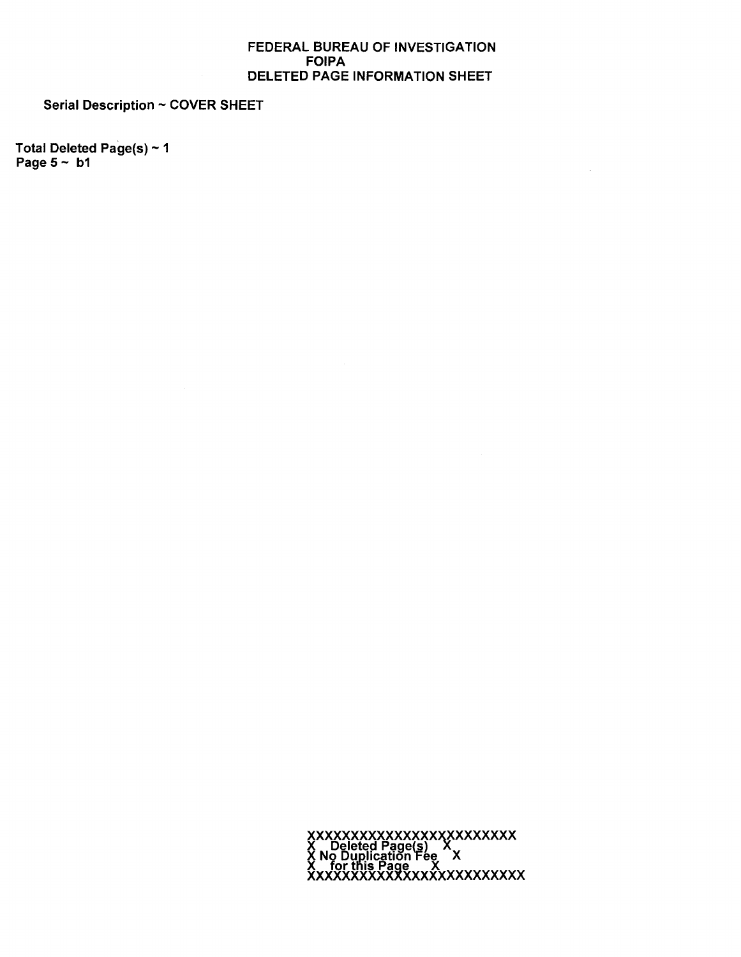#### FEDERAL BUREAU OF INVESTIGATION **FOIPA** DELETED PAGE INFORMATION SHEET

 $\mathcal{A}$ 

**Serial Description ~ COVER SHEET** 

Total Deleted Page(s) ~ 1 Page  $5 \sim b1$ 

XXXXXXXXXXXXXXXXXXXXXXXX<br>X Deleted Page(s) X<br>X No Duplication Fee X<br>XxxXXXXXXXXXXXXXXXXXXXXXXXX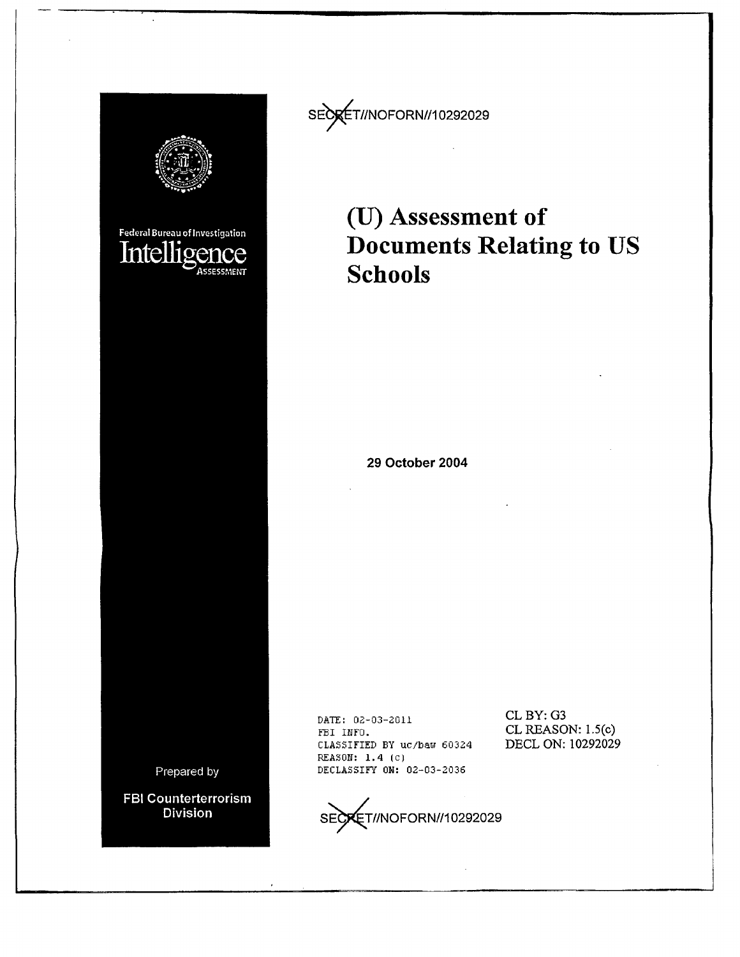

SEO ET//NOFORN//10292029

# **(U) Assessment of Documents Relating to US Schools**

**29 October 2004** 

DATE: 02-03-2011 FBI INFO. CLASSIFIED BY uc/baw 60324 REASON: 1. 4 (c) DECLASSIFY ON: 02-03-2036

CLBY: G3 CL REASON: 1.5(c) DECL ON: 10292029

**Division** 

SECXET//NOFORN//10292029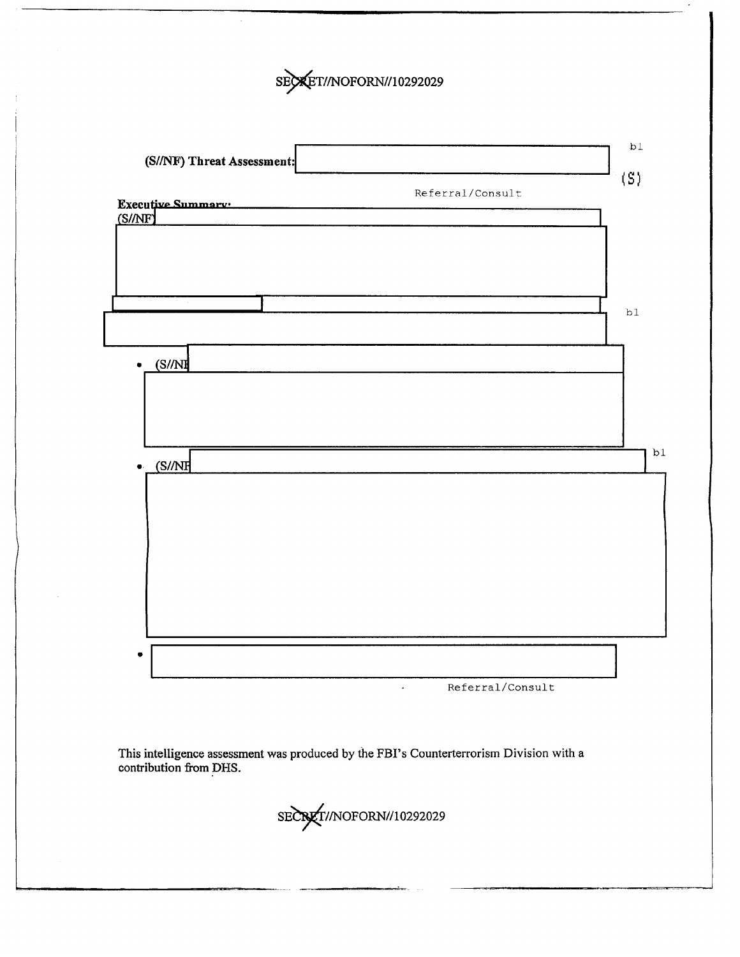



This intelligence assessment was produced by the FBI's Counterterrorism Division with a contribution from DHS.

SECRET//NOFORN//10292029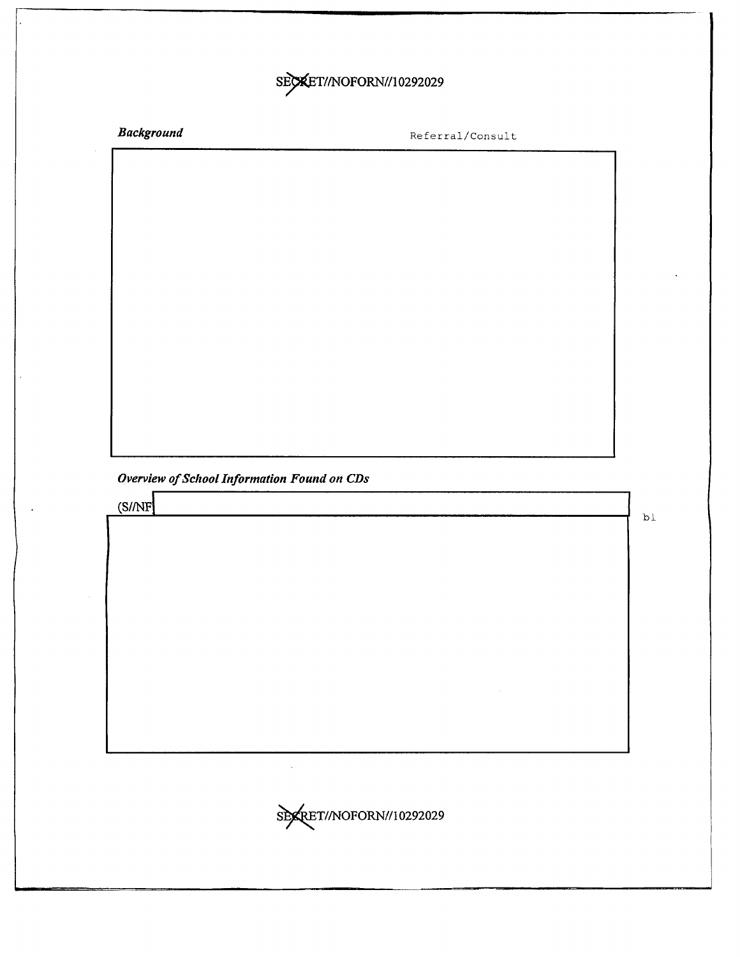## SECKET//NOFORN//10292029

*Background* 

Referral/Consult

*Overview of School Information Found on CDs* 

 $(S/NF)$ 

bl

\$P&RET//NOFORN//10292029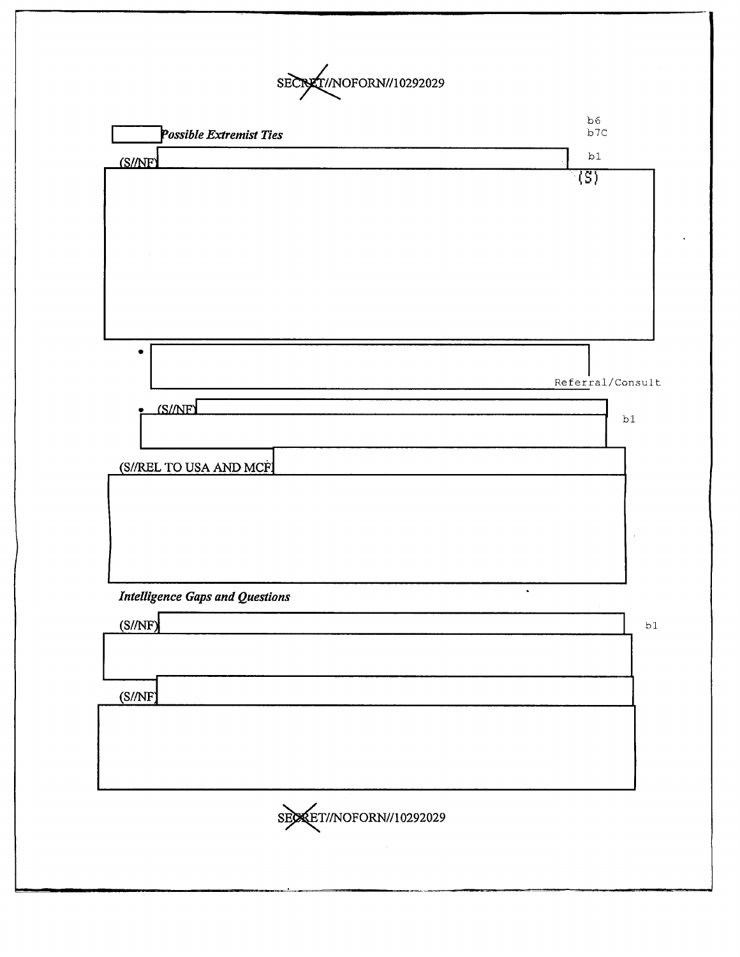SECRET//NOFORN//10292029

| <b>Possible Extremist Ties</b>                      | b6<br>b7c        |
|-----------------------------------------------------|------------------|
| (S//NF)                                             | b1               |
|                                                     | 7ड)              |
| ٠                                                   | Referral/Consult |
| <b>IS/NET</b><br>(S//REL TO USA AND MCF             | b1               |
|                                                     |                  |
| <b>Intelligence Gaps and Questions</b>              | $\bullet$        |
| (S/NF)                                              | b1               |
| (S/NF)                                              |                  |
|                                                     |                  |
| SECRET/NOFORN//10292029<br><b>Contract Contract</b> |                  |